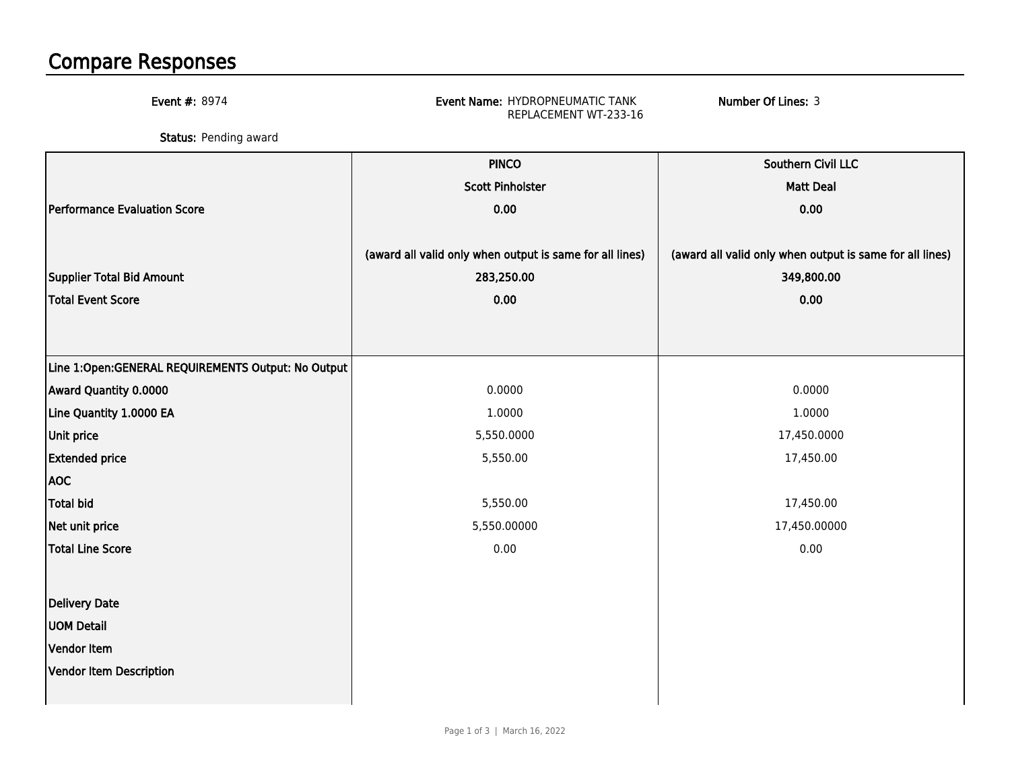## Compare Responses

Event #: 8974 Event Name: HYDROPNEUMATIC TANK REPLACEMENT WT-233-16Number Of Lines: 3**Status:** Pending award PINCO Southern Civil LLC Scott Pinholster Matt Deal Performance Evaluation Score 0.00 0.00 (award all valid only when output is same for all lines) (award all valid only when output is same for all lines) Supplier Total Bid Amount 283,250.00 349,800.00 Total Event Score 0.00 0.00 Line 1:Open:GENERAL REQUIREMENTS Output: No OutputAward Quantity 0.00000.0000 0.0000 0.0000 0.0000 0.0000 0.0000 0.0000 0.0000 0.0000 0.0000 0.0000 0.0000 0.0000 0.0000 0.0000 0.0000 0.0000 0.0000 0.0000 0.0000 0.0000 0.0000 0.0000 0.0000 0.000 0.000 0.000 0.000 0.000 0.000 0.000 0.000 0.000 Line Quantity 1.0000 EA $\mathsf A$  , and the contract of the contract of the contract of the contract of the contract of the contract of the contract of the contract of the contract of the contract of the contract of the contract of the contract of Unit price 5,550.00005,550.0000 and the contract of the contract of the contract of the contract of the contract of the contract of the contract of the contract of the contract of the contract of the contract of the contract of the contract of Extended price**e** 5,550.00 17,450.00 AOCTotal bidd 5,550.00 17,450.00 Net unit price**e** 5,550.00000 5,550.00000 5,550.00000  $\vert$ 5.550.00000 | 17.450.00000 Total Line Score $\bullet$  0.00 0.00 Delivery DateUOM DetailVendor ItemVendor Item Description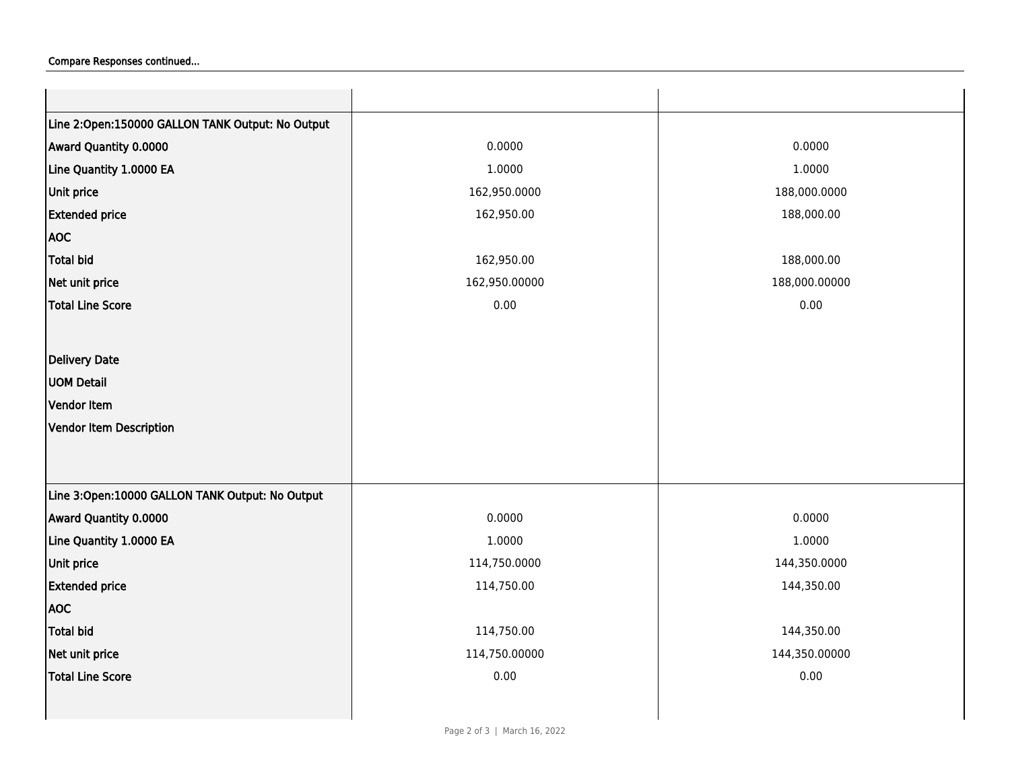## Compare Responses continued...

| Line 2:Open:150000 GALLON TANK Output: No Output |               |               |
|--------------------------------------------------|---------------|---------------|
| Award Quantity 0.0000                            | 0.0000        | 0.0000        |
| Line Quantity 1.0000 EA                          | 1.0000        | 1.0000        |
| Unit price                                       | 162,950.0000  | 188,000.0000  |
| <b>Extended price</b>                            | 162,950.00    | 188,000.00    |
| <b>AOC</b>                                       |               |               |
| <b>Total bid</b>                                 | 162,950.00    | 188,000.00    |
| Net unit price                                   | 162,950.00000 | 188,000.00000 |
| <b>Total Line Score</b>                          | 0.00          | 0.00          |
|                                                  |               |               |
| <b>Delivery Date</b>                             |               |               |
| <b>UOM Detail</b>                                |               |               |
| Vendor Item                                      |               |               |
| <b>Vendor Item Description</b>                   |               |               |
|                                                  |               |               |
|                                                  |               |               |
| Line 3:Open:10000 GALLON TANK Output: No Output  |               |               |
| Award Quantity 0.0000                            | 0.0000        | 0.0000        |
| Line Quantity 1.0000 EA                          | 1.0000        | 1.0000        |
| Unit price                                       | 114,750.0000  | 144,350.0000  |
| <b>Extended price</b>                            | 114,750.00    | 144,350.00    |
| <b>AOC</b>                                       |               |               |
| <b>Total bid</b>                                 | 114,750.00    | 144,350.00    |
| Net unit price                                   | 114,750.00000 | 144,350.00000 |
| <b>Total Line Score</b>                          | 0.00          | 0.00          |
|                                                  |               |               |